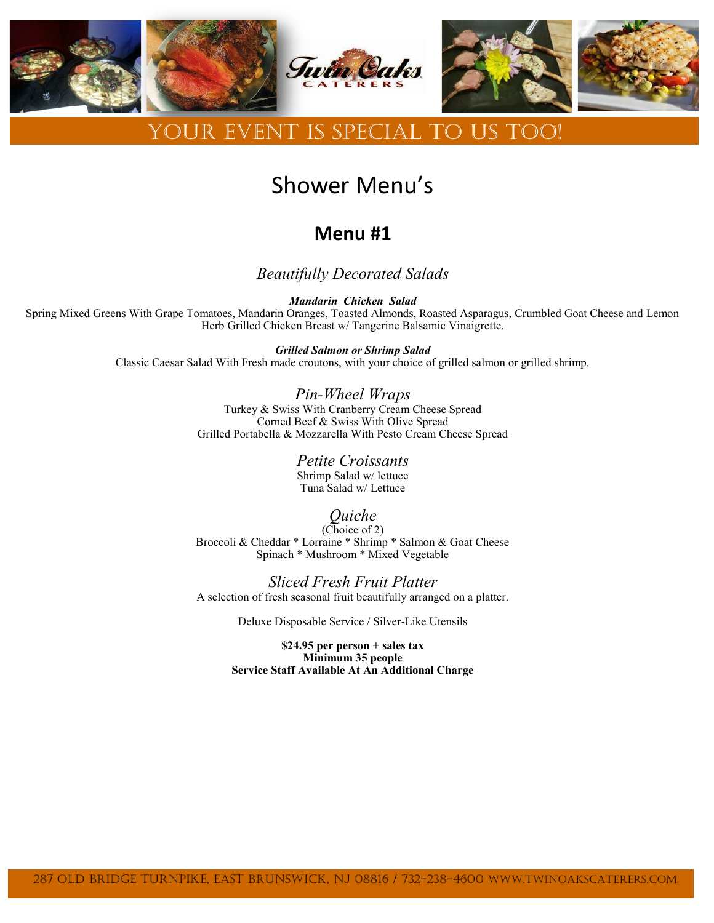

## Your Event is special to us too!

# Shower Menu's

### **Menu #1**

*Beautifully Decorated Salads*

*Mandarin Chicken Salad* Spring Mixed Greens With Grape Tomatoes, Mandarin Oranges, Toasted Almonds, Roasted Asparagus, Crumbled Goat Cheese and Lemon Herb Grilled Chicken Breast w/ Tangerine Balsamic Vinaigrette.

> *Grilled Salmon or Shrimp Salad* Classic Caesar Salad With Fresh made croutons, with your choice of grilled salmon or grilled shrimp.

> > *Pin-Wheel Wraps* Turkey & Swiss With Cranberry Cream Cheese Spread Corned Beef & Swiss With Olive Spread Grilled Portabella & Mozzarella With Pesto Cream Cheese Spread

> > > *Petite Croissants* Shrimp Salad w/ lettuce Tuna Salad w/ Lettuce

#### *Quiche*

(Choice of 2) Broccoli & Cheddar \* Lorraine \* Shrimp \* Salmon & Goat Cheese Spinach \* Mushroom \* Mixed Vegetable

*Sliced Fresh Fruit Platter* A selection of fresh seasonal fruit beautifully arranged on a platter.

Deluxe Disposable Service / Silver-Like Utensils

**\$24.95 per person + sales tax Minimum 35 people Service Staff Available At An Additional Charge**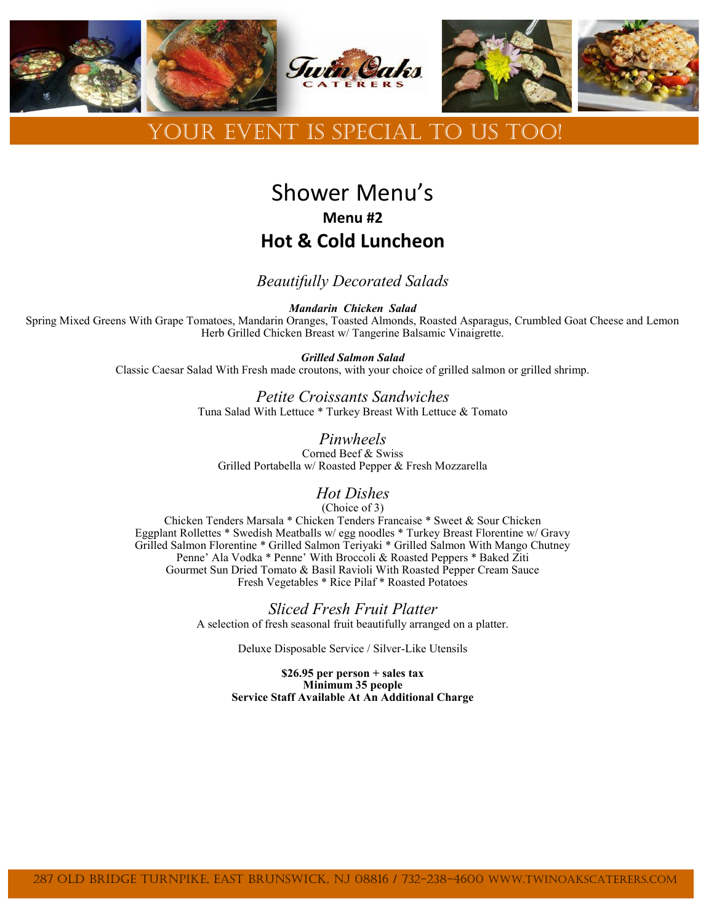

### Your Event is special to us too!

## Shower Menu's **Menu #2 Hot & Cold Luncheon**

#### *Beautifully Decorated Salads*

*Mandarin Chicken Salad*

Spring Mixed Greens With Grape Tomatoes, Mandarin Oranges, Toasted Almonds, Roasted Asparagus, Crumbled Goat Cheese and Lemon Herb Grilled Chicken Breast w/ Tangerine Balsamic Vinaigrette.

> *Grilled Salmon Salad* Classic Caesar Salad With Fresh made croutons, with your choice of grilled salmon or grilled shrimp.

> > *Petite Croissants Sandwiches* Tuna Salad With Lettuce \* Turkey Breast With Lettuce & Tomato

*Pinwheels* Corned Beef & Swiss Grilled Portabella w/ Roasted Pepper & Fresh Mozzarella

#### *Hot Dishes*

(Choice of 3)

Chicken Tenders Marsala \* Chicken Tenders Francaise \* Sweet & Sour Chicken Eggplant Rollettes \* Swedish Meatballs w/ egg noodles \* Turkey Breast Florentine w/ Gravy Grilled Salmon Florentine \* Grilled Salmon Teriyaki \* Grilled Salmon With Mango Chutney Penne' Ala Vodka \* Penne' With Broccoli & Roasted Peppers \* Baked Ziti Gourmet Sun Dried Tomato & Basil Ravioli With Roasted Pepper Cream Sauce Fresh Vegetables \* Rice Pilaf \* Roasted Potatoes

> *Sliced Fresh Fruit Platter* A selection of fresh seasonal fruit beautifully arranged on a platter.

> > Deluxe Disposable Service / Silver-Like Utensils

**\$26.95 per person + sales tax Minimum 35 people Service Staff Available At An Additional Charge**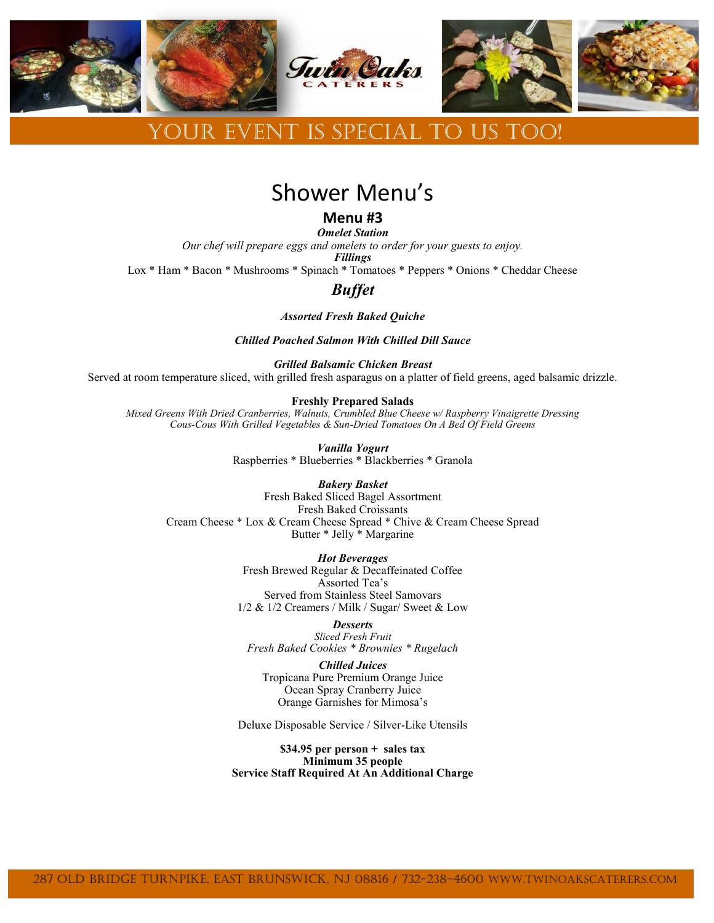

### DUR EVENT IS SPECIAL TO US TOO!

### Shower Menu's

**Menu #3**

*Omelet Station Our chef will prepare eggs and omelets to order for your guests to enjoy. Fillings* Lox \* Ham \* Bacon \* Mushrooms \* Spinach \* Tomatoes \* Peppers \* Onions \* Cheddar Cheese

#### *Buffet*

*Assorted Fresh Baked Quiche*

*Chilled Poached Salmon With Chilled Dill Sauce*

#### *Grilled Balsamic Chicken Breast*

Served at room temperature sliced, with grilled fresh asparagus on a platter of field greens, aged balsamic drizzle.

#### **Freshly Prepared Salads**

*Mixed Greens With Dried Cranberries, Walnuts, Crumbled Blue Cheese w/ Raspberry Vinaigrette Dressing Cous-Cous With Grilled Vegetables & Sun-Dried Tomatoes On A Bed Of Field Greens*

> *Vanilla Yogurt* Raspberries \* Blueberries \* Blackberries \* Granola

#### *Bakery Basket*

Fresh Baked Sliced Bagel Assortment Fresh Baked Croissants Cream Cheese \* Lox & Cream Cheese Spread \* Chive & Cream Cheese Spread Butter \* Jelly \* Margarine

*Hot Beverages*

Fresh Brewed Regular & Decaffeinated Coffee Assorted Tea's Served from Stainless Steel Samovars 1/2 & 1/2 Creamers / Milk / Sugar/ Sweet & Low

*Desserts Sliced Fresh Fruit Fresh Baked Cookies \* Brownies \* Rugelach*

*Chilled Juices* Tropicana Pure Premium Orange Juice Ocean Spray Cranberry Juice Orange Garnishes for Mimosa's

Deluxe Disposable Service / Silver-Like Utensils

**\$34.95 per person + sales tax Minimum 35 people Service Staff Required At An Additional Charge**